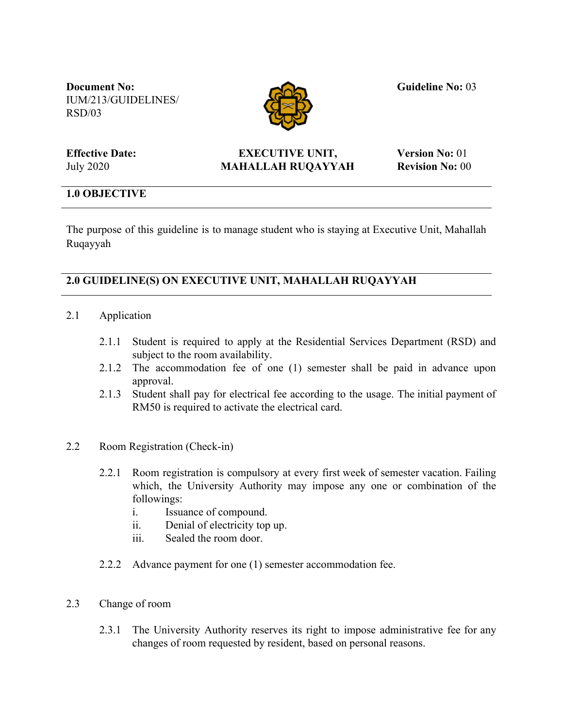**Document No:** IUM/213/GUIDELINES/ RSD/03



**Guideline No:** 03

**Effective Date:** July 2020

## **EXECUTIVE UNIT, MAHALLAH RUQAYYAH**

**Version No:** 01 **Revision No:** 00

## **1.0 OBJECTIVE**

The purpose of this guideline is to manage student who is staying at Executive Unit, Mahallah Ruqayyah

# **2.0 GUIDELINE(S) ON EXECUTIVE UNIT, MAHALLAH RUQAYYAH**

- 2.1 Application
	- 2.1.1 Student is required to apply at the Residential Services Department (RSD) and subject to the room availability.
	- 2.1.2 The accommodation fee of one (1) semester shall be paid in advance upon approval.
	- 2.1.3 Student shall pay for electrical fee according to the usage. The initial payment of RM50 is required to activate the electrical card.
- 2.2 Room Registration (Check-in)
	- 2.2.1 Room registration is compulsory at every first week of semester vacation. Failing which, the University Authority may impose any one or combination of the followings:
		- i. Issuance of compound.
		- ii. Denial of electricity top up.
		- iii. Sealed the room door.
	- 2.2.2 Advance payment for one (1) semester accommodation fee.
- 2.3 Change of room
	- 2.3.1 The University Authority reserves its right to impose administrative fee for any changes of room requested by resident, based on personal reasons.